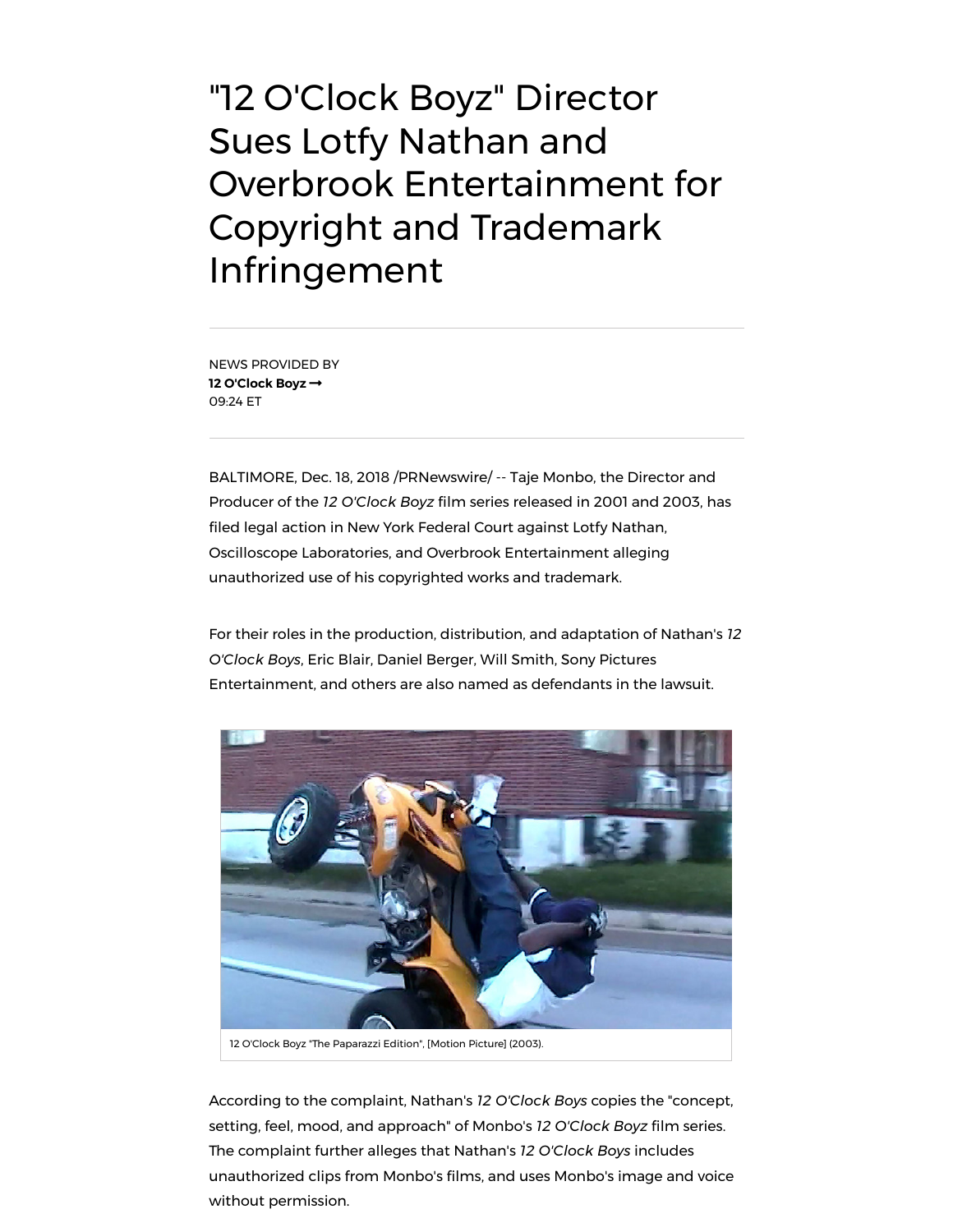"12 O'Clock Boyz" Director Sues Lotfy Nathan and Overbrook Entertainment for Copyright and Trademark Infringement

NEWS PROVIDED BY **12 [O'Clock Boyz](https://www.prnewswire.com/news/12+O%27Clock+Boyz)** 09:24 ET

BALTIMORE, Dec. 18, 2018 /PRNewswire/ -- Taje Monbo, the Director and Producer of the *12 O'Clock Boyz* film series released in 2001 and 2003, has filed legal action in New York Federal Court against Lotfy Nathan, Oscilloscope Laboratories, and Overbrook Entertainment alleging unauthorized use of his copyrighted works and trademark.

For their roles in the production, distribution, and adaptation of Nathan's *12 O'Clock Boys*, Eric Blair, Daniel Berger, Will Smith, Sony Pictures Entertainment, and others are also named as defendants in the lawsuit.



According to the complaint, Nathan's *12 O'Clock Boys* copies the "concept, setting, feel, mood, and approach" of Monbo's *12* O'Clock Boyz film series. The complaint further alleges that Nathan's *12 O'Clock Boys* includes unauthorized clips from Monbo's films, and uses Monbo's image and voice without permission.